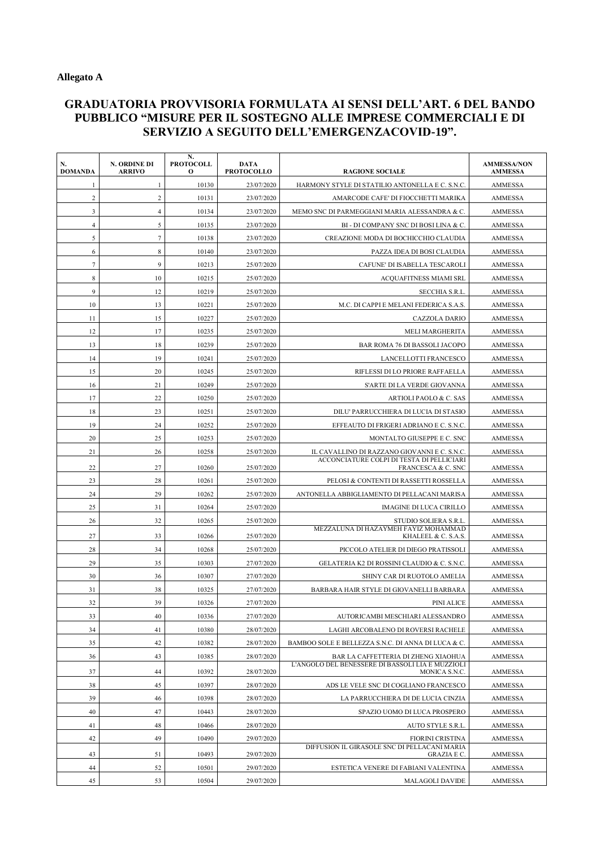## **GRADUATORIA PROVVISORIA FORMULATA AI SENSI DELL'ART. 6 DEL BANDO PUBBLICO "MISURE PER IL SOSTEGNO ALLE IMPRESE COMMERCIALI E DI SERVIZIO A SEGUITO DELL'EMERGENZACOVID-19".**

| N.<br><b>DOMANDA</b> | N. ORDINE DI<br><b>ARRIVO</b> | N.<br><b>PROTOCOLL</b><br>$\mathbf{o}$ | DATA<br><b>PROTOCOLLO</b> | <b>RAGIONE SOCIALE</b>                                            | <b>AMMESSA/NON</b><br><b>AMMESSA</b> |
|----------------------|-------------------------------|----------------------------------------|---------------------------|-------------------------------------------------------------------|--------------------------------------|
| 1                    | $\mathbf{1}$                  | 10130                                  | 23/07/2020                | HARMONY STYLE DI STATILIO ANTONELLA E C. S.N.C.                   | AMMESSA                              |
| $\overline{2}$       | $\overline{2}$                | 10131                                  | 23/07/2020                | AMARCODE CAFE' DI FIOCCHETTI MARIKA                               | AMMESSA                              |
| 3                    | $\overline{4}$                | 10134                                  | 23/07/2020                | MEMO SNC DI PARMEGGIANI MARIA ALESSANDRA & C.                     | AMMESSA                              |
| $\overline{4}$       | 5                             | 10135                                  | 23/07/2020                | BI - DI COMPANY SNC DI BOSI LINA & C.                             | AMMESSA                              |
| 5                    | $7\phantom{.0}$               | 10138                                  | 23/07/2020                | CREAZIONE MODA DI BOCHICCHIO CLAUDIA                              | <b>AMMESSA</b>                       |
| 6                    | 8                             | 10140                                  | 23/07/2020                | PAZZA IDEA DI BOSI CLAUDIA                                        | AMMESSA                              |
| $7\phantom{.0}$      | 9                             | 10213                                  | 25/07/2020                | CAFUNE' DI ISABELLA TESCAROLI                                     | <b>AMMESSA</b>                       |
| 8                    | 10                            | 10215                                  | 25/07/2020                | <b>ACQUAFITNESS MIAMI SRL</b>                                     | AMMESSA                              |
| 9                    | 12                            | 10219                                  | 25/07/2020                | SECCHIA S.R.L.                                                    | AMMESSA                              |
| 10                   | 13                            | 10221                                  | 25/07/2020                | M.C. DI CAPPI E MELANI FEDERICA S.A.S.                            | AMMESSA                              |
| 11                   | 15                            | 10227                                  | 25/07/2020                | CAZZOLA DARIO                                                     | <b>AMMESSA</b>                       |
| 12                   | 17                            | 10235                                  | 25/07/2020                | <b>MELI MARGHERITA</b>                                            | <b>AMMESSA</b>                       |
| 13                   | 18                            | 10239                                  | 25/07/2020                | BAR ROMA 76 DI BASSOLI JACOPO                                     | AMMESSA                              |
| 14                   | 19                            | 10241                                  | 25/07/2020                | LANCELLOTTI FRANCESCO                                             | AMMESSA                              |
| 15                   | 20                            | 10245                                  | 25/07/2020                | RIFLESSI DI LO PRIORE RAFFAELLA                                   | AMMESSA                              |
| 16                   | 21                            | 10249                                  | 25/07/2020                | S'ARTE DI LA VERDE GIOVANNA                                       | <b>AMMESSA</b>                       |
| 17                   | 22                            | 10250                                  | 25/07/2020                | ARTIOLI PAOLO & C. SAS                                            | <b>AMMESSA</b>                       |
| 18                   | 23                            | 10251                                  | 25/07/2020                | DILU' PARRUCCHIERA DI LUCIA DI STASIO                             | <b>AMMESSA</b>                       |
| 19                   | 24                            | 10252                                  | 25/07/2020                | EFFEAUTO DI FRIGERI ADRIANO E C. S.N.C.                           | <b>AMMESSA</b>                       |
| 20                   | 25                            | 10253                                  | 25/07/2020                | MONTALTO GIUSEPPE E C. SNC                                        | AMMESSA                              |
| 21                   | 26                            | 10258                                  | 25/07/2020                | IL CAVALLINO DI RAZZANO GIOVANNI E C. S.N.C.                      | AMMESSA                              |
| 22                   | 27                            | 10260                                  | 25/07/2020                | ACCONCIATURE COLPI DI TESTA DI PELLICIARI<br>FRANCESCA & C. SNC   | AMMESSA                              |
| 23                   | 28                            | 10261                                  | 25/07/2020                | PELOSI & CONTENTI DI RASSETTI ROSSELLA                            | AMMESSA                              |
| 24                   | 29                            | 10262                                  | 25/07/2020                | ANTONELLA ABBIGLIAMENTO DI PELLACANI MARISA                       | AMMESSA                              |
| 25                   | 31                            | 10264                                  | 25/07/2020                | <b>IMAGINE DI LUCA CIRILLO</b>                                    | AMMESSA                              |
| 26                   | 32                            | 10265                                  | 25/07/2020                | STUDIO SOLIERA S.R.L.                                             | <b>AMMESSA</b>                       |
| 27                   | 33                            | 10266                                  | 25/07/2020                | MEZZALUNA DI HAZAYMEH FAYIZ MOHAMMAD<br>KHALEEL & C. S.A.S.       | AMMESSA                              |
| 28                   | 34                            | 10268                                  | 25/07/2020                | PICCOLO ATELIER DI DIEGO PRATISSOLI                               | <b>AMMESSA</b>                       |
| 29                   | 35                            | 10303                                  | 27/07/2020                | GELATERIA K2 DI ROSSINI CLAUDIO & C. S.N.C                        | AMMESSA                              |
| 30                   | 36                            | 10307                                  | 27/07/2020                | SHINY CAR DI RUOTOLO AMELIA                                       | <b>AMMESSA</b>                       |
| 31                   | 38                            | 10325                                  | 27/07/2020                | BARBARA HAIR STYLE DI GIOVANELLI BARBARA                          | <b>AMMESSA</b>                       |
| 32                   | 39                            | 10326                                  | 27/07/2020                | PINI ALICE                                                        | <b>AMMESSA</b>                       |
| 33                   | 40                            | 10336                                  | 27/07/2020                | AUTORICAMBI MESCHIARI ALESSANDRO                                  | <b>AMMESSA</b>                       |
| 34                   | 41                            | 10380                                  | 28/07/2020                | LAGHI ARCOBALENO DI ROVERSI RACHELE                               | AMMESSA                              |
| 35                   | 42                            | 10382                                  | 28/07/2020                | BAMBOO SOLE E BELLEZZA S.N.C. DI ANNA DI LUCA & C.                | <b>AMMESSA</b>                       |
| 36                   | 43                            | 10385                                  | 28/07/2020                | BAR LA CAFFETTERIA DI ZHENG XIAOHUA                               | AMMESSA                              |
| 37                   | 44                            | 10392                                  | 28/07/2020                | L'ANGOLO DEL BENESSERE DI BASSOLI LIA E MUZZIOLI<br>MONICA S.N.C. | AMMESSA                              |
| 38                   | 45                            | 10397                                  | 28/07/2020                | ADS LE VELE SNC DI COGLIANO FRANCESCO                             | <b>AMMESSA</b>                       |
| 39                   | 46                            | 10398                                  | 28/07/2020                | LA PARRUCCHIERA DI DE LUCIA CINZIA                                | AMMESSA                              |
| 40                   | 47                            | 10443                                  | 28/07/2020                | SPAZIO UOMO DI LUCA PROSPERO                                      | <b>AMMESSA</b>                       |
| 41                   | 48                            | 10466                                  | 28/07/2020                | AUTO STYLE S.R.L.                                                 | AMMESSA                              |
| 42                   | 49                            | 10490                                  | 29/07/2020                | <b>FIORINI CRISTINA</b>                                           | AMMESSA                              |
|                      |                               |                                        |                           | DIFFUSION IL GIRASOLE SNC DI PELLACANI MARIA                      |                                      |
| 43                   | 51                            | 10493                                  | 29/07/2020                | <b>GRAZIA E C.</b>                                                | AMMESSA                              |
| 44<br>45             | 52<br>53                      | 10501<br>10504                         | 29/07/2020<br>29/07/2020  | ESTETICA VENERE DI FABIANI VALENTINA<br>MALAGOLI DAVIDE           | AMMESSA                              |
|                      |                               |                                        |                           |                                                                   | AMMESSA                              |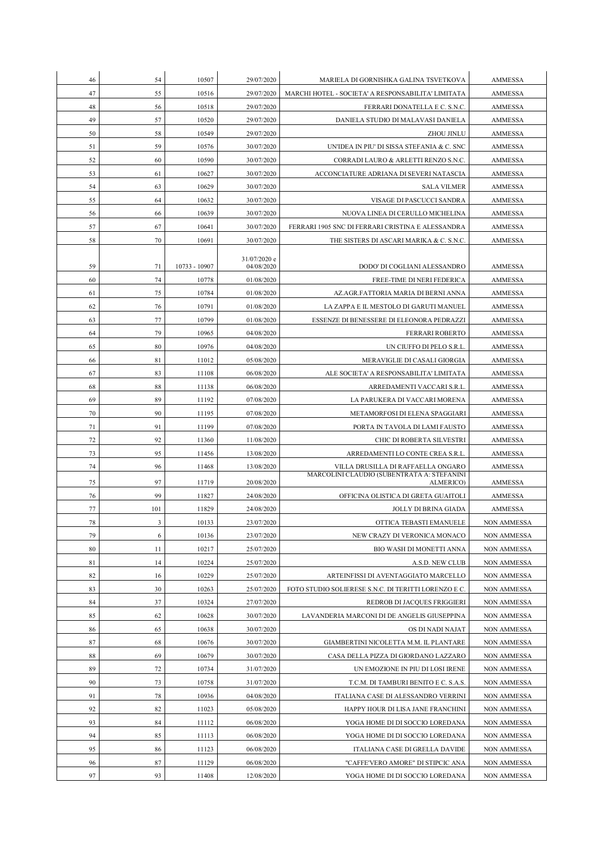| 46 | 54  | 10507         | 29/07/2020   | MARIELA DI GORNISHKA GALINA TSVETKOVA                   | <b>AMMESSA</b>     |
|----|-----|---------------|--------------|---------------------------------------------------------|--------------------|
| 47 | 55  | 10516         | 29/07/2020   | MARCHI HOTEL - SOCIETA' A RESPONSABILITA' LIMITATA      | AMMESSA            |
| 48 | 56  | 10518         | 29/07/2020   | FERRARI DONATELLA E C. S.N.C.                           | <b>AMMESSA</b>     |
| 49 | 57  | 10520         | 29/07/2020   | DANIELA STUDIO DI MALAVASI DANIELA                      | AMMESSA            |
| 50 | 58  | 10549         | 29/07/2020   | ZHOU JINLU                                              | <b>AMMESSA</b>     |
| 51 | 59  | 10576         | 30/07/2020   | UN'IDEA IN PIU' DI SISSA STEFANIA & C. SNC              | <b>AMMESSA</b>     |
| 52 | 60  | 10590         | 30/07/2020   | CORRADI LAURO & ARLETTI RENZO S.N.C.                    | <b>AMMESSA</b>     |
| 53 | 61  | 10627         | 30/07/2020   | ACCONCIATURE ADRIANA DI SEVERI NATASCIA                 | <b>AMMESSA</b>     |
| 54 | 63  | 10629         | 30/07/2020   | <b>SALA VILMER</b>                                      | AMMESSA            |
| 55 | 64  | 10632         | 30/07/2020   | VISAGE DI PASCUCCI SANDRA                               | AMMESSA            |
| 56 | 66  | 10639         | 30/07/2020   | NUOVA LINEA DI CERULLO MICHELINA                        | <b>AMMESSA</b>     |
| 57 | 67  | 10641         | 30/07/2020   | FERRARI 1905 SNC DI FERRARI CRISTINA E ALESSANDRA       | <b>AMMESSA</b>     |
| 58 | 70  | 10691         | 30/07/2020   | THE SISTERS DI ASCARI MARIKA & C. S.N.C.                | <b>AMMESSA</b>     |
|    |     |               | 31/07/2020 e |                                                         |                    |
| 59 | 71  | 10733 - 10907 | 04/08/2020   | DODO' DI COGLIANI ALESSANDRO                            | AMMESSA            |
| 60 | 74  | 10778         | 01/08/2020   | FREE-TIME DI NERI FEDERICA                              | <b>AMMESSA</b>     |
| 61 | 75  | 10784         | 01/08/2020   | AZ.AGR.FATTORIA MARIA DI BERNI ANNA                     | <b>AMMESSA</b>     |
| 62 | 76  | 10791         | 01/08/2020   | LA ZAPPA E IL MESTOLO DI GARUTI MANUEL                  | <b>AMMESSA</b>     |
| 63 | 77  | 10799         | 01/08/2020   | ESSENZE DI BENESSERE DI ELEONORA PEDRAZZI               | <b>AMMESSA</b>     |
| 64 | 79  | 10965         | 04/08/2020   | <b>FERRARI ROBERTO</b>                                  | AMMESSA            |
| 65 | 80  | 10976         | 04/08/2020   | UN CIUFFO DI PELO S.R.L.                                | AMMESSA            |
| 66 | 81  | 11012         | 05/08/2020   | MERAVIGLIE DI CASALI GIORGIA                            | <b>AMMESSA</b>     |
| 67 | 83  | 11108         | 06/08/2020   | ALE SOCIETA' A RESPONSABILITA' LIMITATA                 | <b>AMMESSA</b>     |
| 68 | 88  | 11138         | 06/08/2020   | ARREDAMENTI VACCARI S.R.L.                              | <b>AMMESSA</b>     |
| 69 | 89  | 11192         | 07/08/2020   | LA PARUKERA DI VACCARI MORENA                           | AMMESSA            |
| 70 | 90  | 11195         | 07/08/2020   | METAMORFOSI DI ELENA SPAGGIARI                          | AMMESSA            |
| 71 | 91  | 11199         | 07/08/2020   | PORTA IN TAVOLA DI LAMI FAUSTO                          | <b>AMMESSA</b>     |
| 72 | 92  | 11360         | 11/08/2020   | CHIC DI ROBERTA SILVESTRI                               | AMMESSA            |
| 73 | 95  | 11456         | 13/08/2020   | ARREDAMENTI LO CONTE CREA S.R.L.                        | AMMESSA            |
| 74 | 96  | 11468         | 13/08/2020   | VILLA DRUSILLA DI RAFFAELLA ONGARO                      | <b>AMMESSA</b>     |
| 75 | 97  | 11719         | 20/08/2020   | MARCOLINI CLAUDIO (SUBENTRATA A: STEFANINI<br>ALMERICO) | <b>AMMESSA</b>     |
| 76 | 99  | 11827         | 24/08/2020   | OFFICINA OLISTICA DI GRETA GUAITOLI                     | <b>AMMESSA</b>     |
| 77 | 101 | 11829         | 24/08/2020   | <b>JOLLY DI BRINA GIADA</b>                             | AMMESSA            |
| 78 | 3   | 10133         | 23/07/2020   | OTTICA TEBASTI EMANUELE                                 | <b>NON AMMESSA</b> |
| 79 | 6   | 10136         | 23/07/2020   | NEW CRAZY DI VERONICA MONACO                            | <b>NON AMMESSA</b> |
| 80 | 11  | 10217         | 25/07/2020   | BIO WASH DI MONETTI ANNA                                | <b>NON AMMESSA</b> |
| 81 | 14  | 10224         | 25/07/2020   | A.S.D. NEW CLUB                                         | <b>NON AMMESSA</b> |
| 82 | 16  | 10229         | 25/07/2020   | ARTEINFISSI DI AVENTAGGIATO MARCELLO                    | <b>NON AMMESSA</b> |
| 83 | 30  | 10263         | 25/07/2020   | FOTO STUDIO SOLIERESE S.N.C. DI TERITTI LORENZO E C.    | <b>NON AMMESSA</b> |
| 84 | 37  | 10324         | 27/07/2020   | REDROB DI JACQUES FRIGGIERI                             | <b>NON AMMESSA</b> |
| 85 | 62  | 10628         | 30/07/2020   | LAVANDERIA MARCONI DI DE ANGELIS GIUSEPPINA             | <b>NON AMMESSA</b> |
| 86 | 65  | 10638         | 30/07/2020   | OS DI NADI NAJAT                                        | <b>NON AMMESSA</b> |
| 87 | 68  | 10676         | 30/07/2020   | GIAMBERTINI NICOLETTA M.M. IL PLANTARE                  | <b>NON AMMESSA</b> |
| 88 | 69  | 10679         | 30/07/2020   | CASA DELLA PIZZA DI GIORDANO LAZZARO                    | NON AMMESSA        |
| 89 | 72  | 10734         | 31/07/2020   | UN EMOZIONE IN PIU DI LOSI IRENE                        | <b>NON AMMESSA</b> |
| 90 | 73  | 10758         | 31/07/2020   | T.C.M. DI TAMBURI BENITO E C. S.A.S.                    | <b>NON AMMESSA</b> |
| 91 | 78  | 10936         | 04/08/2020   | ITALIANA CASE DI ALESSANDRO VERRINI                     | <b>NON AMMESSA</b> |
| 92 | 82  | 11023         | 05/08/2020   | HAPPY HOUR DI LISA JANE FRANCHINI                       | <b>NON AMMESSA</b> |
| 93 | 84  | 11112         | 06/08/2020   | YOGA HOME DI DI SOCCIO LOREDANA                         | <b>NON AMMESSA</b> |
| 94 | 85  | 11113         | 06/08/2020   | YOGA HOME DI DI SOCCIO LOREDANA                         | <b>NON AMMESSA</b> |
| 95 | 86  | 11123         | 06/08/2020   | ITALIANA CASE DI GRELLA DAVIDE                          | NON AMMESSA        |
| 96 | 87  | 11129         | 06/08/2020   | "CAFFE'VERO AMORE" DI STIPCIC ANA                       | NON AMMESSA        |
| 97 | 93  | 11408         | 12/08/2020   | YOGA HOME DI DI SOCCIO LOREDANA                         | <b>NON AMMESSA</b> |
|    |     |               |              |                                                         |                    |